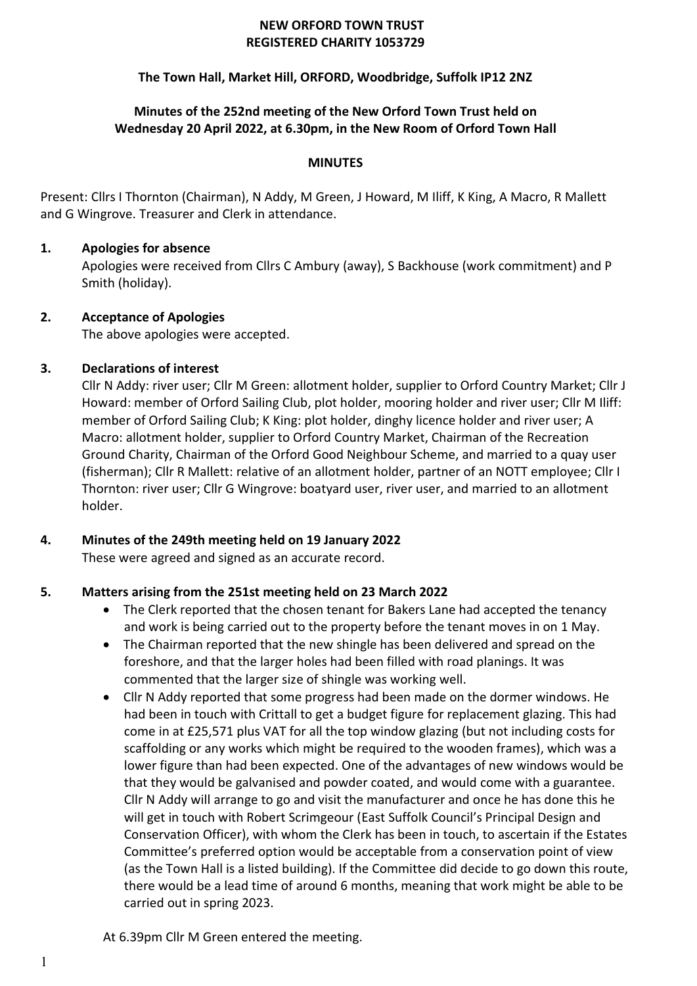#### **NEW ORFORD TOWN TRUST REGISTERED CHARITY 1053729**

# **The Town Hall, Market Hill, ORFORD, Woodbridge, Suffolk IP12 2NZ**

# **Minutes of the 252nd meeting of the New Orford Town Trust held on Wednesday 20 April 2022, at 6.30pm, in the New Room of Orford Town Hall**

#### **MINUTES**

Present: Cllrs I Thornton (Chairman), N Addy, M Green, J Howard, M Iliff, K King, A Macro, R Mallett and G Wingrove. Treasurer and Clerk in attendance.

#### **1. Apologies for absence**

Apologies were received from Cllrs C Ambury (away), S Backhouse (work commitment) and P Smith (holiday).

#### **2. Acceptance of Apologies**

The above apologies were accepted.

# **3. Declarations of interest**

Cllr N Addy: river user; Cllr M Green: allotment holder, supplier to Orford Country Market; Cllr J Howard: member of Orford Sailing Club, plot holder, mooring holder and river user; Cllr M Iliff: member of Orford Sailing Club; K King: plot holder, dinghy licence holder and river user; A Macro: allotment holder, supplier to Orford Country Market, Chairman of the Recreation Ground Charity, Chairman of the Orford Good Neighbour Scheme, and married to a quay user (fisherman); Cllr R Mallett: relative of an allotment holder, partner of an NOTT employee; Cllr I Thornton: river user; Cllr G Wingrove: boatyard user, river user, and married to an allotment holder.

# **4. Minutes of the 249th meeting held on 19 January 2022**

These were agreed and signed as an accurate record.

# **5. Matters arising from the 251st meeting held on 23 March 2022**

- The Clerk reported that the chosen tenant for Bakers Lane had accepted the tenancy and work is being carried out to the property before the tenant moves in on 1 May.
- The Chairman reported that the new shingle has been delivered and spread on the foreshore, and that the larger holes had been filled with road planings. It was commented that the larger size of shingle was working well.
- Cllr N Addy reported that some progress had been made on the dormer windows. He had been in touch with Crittall to get a budget figure for replacement glazing. This had come in at £25,571 plus VAT for all the top window glazing (but not including costs for scaffolding or any works which might be required to the wooden frames), which was a lower figure than had been expected. One of the advantages of new windows would be that they would be galvanised and powder coated, and would come with a guarantee. Cllr N Addy will arrange to go and visit the manufacturer and once he has done this he will get in touch with Robert Scrimgeour (East Suffolk Council's Principal Design and Conservation Officer), with whom the Clerk has been in touch, to ascertain if the Estates Committee's preferred option would be acceptable from a conservation point of view (as the Town Hall is a listed building). If the Committee did decide to go down this route, there would be a lead time of around 6 months, meaning that work might be able to be carried out in spring 2023.

At 6.39pm Cllr M Green entered the meeting.